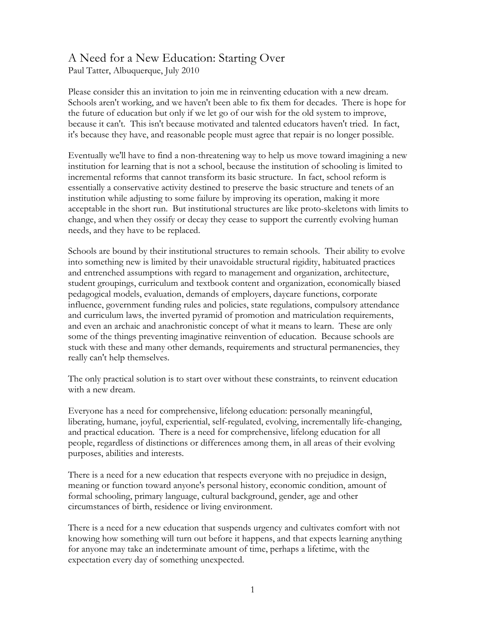## A Need for a New Education: Starting Over

Paul Tatter, Albuquerque, July 2010

Please consider this an invitation to join me in reinventing education with a new dream. Schools aren't working, and we haven't been able to fix them for decades. There is hope for the future of education but only if we let go of our wish for the old system to improve, because it can't. This isn't because motivated and talented educators haven't tried. In fact, it's because they have, and reasonable people must agree that repair is no longer possible.

Eventually we'll have to find a non-threatening way to help us move toward imagining a new institution for learning that is not a school, because the institution of schooling is limited to incremental reforms that cannot transform its basic structure. In fact, school reform is essentially a conservative activity destined to preserve the basic structure and tenets of an institution while adjusting to some failure by improving its operation, making it more acceptable in the short run. But institutional structures are like proto-skeletons with limits to change, and when they ossify or decay they cease to support the currently evolving human needs, and they have to be replaced.

Schools are bound by their institutional structures to remain schools. Their ability to evolve into something new is limited by their unavoidable structural rigidity, habituated practices and entrenched assumptions with regard to management and organization, architecture, student groupings, curriculum and textbook content and organization, economically biased pedagogical models, evaluation, demands of employers, daycare functions, corporate influence, government funding rules and policies, state regulations, compulsory attendance and curriculum laws, the inverted pyramid of promotion and matriculation requirements, and even an archaic and anachronistic concept of what it means to learn. These are only some of the things preventing imaginative reinvention of education. Because schools are stuck with these and many other demands, requirements and structural permanencies, they really can't help themselves.

The only practical solution is to start over without these constraints, to reinvent education with a new dream.

Everyone has a need for comprehensive, lifelong education: personally meaningful, liberating, humane, joyful, experiential, self-regulated, evolving, incrementally life-changing, and practical education. There is a need for comprehensive, lifelong education for all people, regardless of distinctions or differences among them, in all areas of their evolving purposes, abilities and interests.

There is a need for a new education that respects everyone with no prejudice in design, meaning or function toward anyone's personal history, economic condition, amount of formal schooling, primary language, cultural background, gender, age and other circumstances of birth, residence or living environment.

There is a need for a new education that suspends urgency and cultivates comfort with not knowing how something will turn out before it happens, and that expects learning anything for anyone may take an indeterminate amount of time, perhaps a lifetime, with the expectation every day of something unexpected.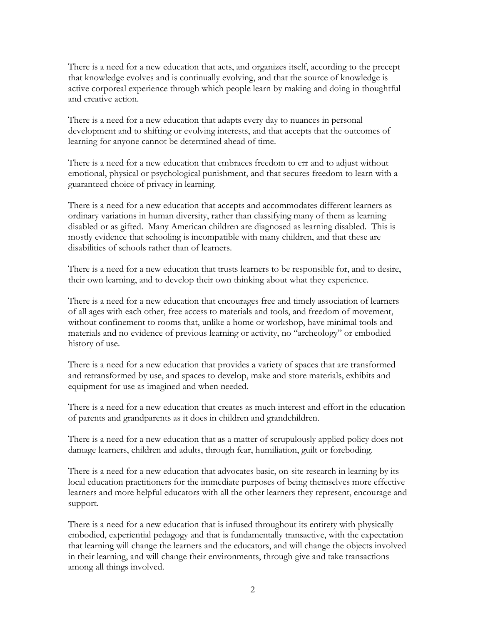There is a need for a new education that acts, and organizes itself, according to the precept that knowledge evolves and is continually evolving, and that the source of knowledge is active corporeal experience through which people learn by making and doing in thoughtful and creative action.

There is a need for a new education that adapts every day to nuances in personal development and to shifting or evolving interests, and that accepts that the outcomes of learning for anyone cannot be determined ahead of time.

There is a need for a new education that embraces freedom to err and to adjust without emotional, physical or psychological punishment, and that secures freedom to learn with a guaranteed choice of privacy in learning.

There is a need for a new education that accepts and accommodates different learners as ordinary variations in human diversity, rather than classifying many of them as learning disabled or as gifted. Many American children are diagnosed as learning disabled. This is mostly evidence that schooling is incompatible with many children, and that these are disabilities of schools rather than of learners.

There is a need for a new education that trusts learners to be responsible for, and to desire, their own learning, and to develop their own thinking about what they experience.

There is a need for a new education that encourages free and timely association of learners of all ages with each other, free access to materials and tools, and freedom of movement, without confinement to rooms that, unlike a home or workshop, have minimal tools and materials and no evidence of previous learning or activity, no "archeology" or embodied history of use.

There is a need for a new education that provides a variety of spaces that are transformed and retransformed by use, and spaces to develop, make and store materials, exhibits and equipment for use as imagined and when needed.

There is a need for a new education that creates as much interest and effort in the education of parents and grandparents as it does in children and grandchildren.

There is a need for a new education that as a matter of scrupulously applied policy does not damage learners, children and adults, through fear, humiliation, guilt or foreboding.

There is a need for a new education that advocates basic, on-site research in learning by its local education practitioners for the immediate purposes of being themselves more effective learners and more helpful educators with all the other learners they represent, encourage and support.

There is a need for a new education that is infused throughout its entirety with physically embodied, experiential pedagogy and that is fundamentally transactive, with the expectation that learning will change the learners and the educators, and will change the objects involved in their learning, and will change their environments, through give and take transactions among all things involved.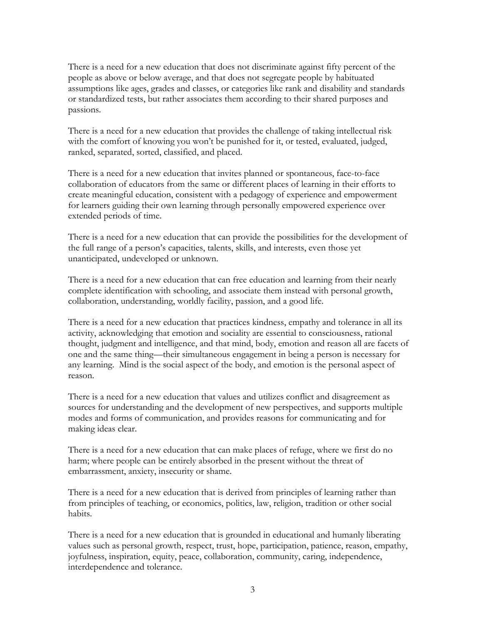There is a need for a new education that does not discriminate against fifty percent of the people as above or below average, and that does not segregate people by habituated assumptions like ages, grades and classes, or categories like rank and disability and standards or standardized tests, but rather associates them according to their shared purposes and passions.

There is a need for a new education that provides the challenge of taking intellectual risk with the comfort of knowing you won't be punished for it, or tested, evaluated, judged, ranked, separated, sorted, classified, and placed.

There is a need for a new education that invites planned or spontaneous, face-to-face collaboration of educators from the same or different places of learning in their efforts to create meaningful education, consistent with a pedagogy of experience and empowerment for learners guiding their own learning through personally empowered experience over extended periods of time.

There is a need for a new education that can provide the possibilities for the development of the full range of a person's capacities, talents, skills, and interests, even those yet unanticipated, undeveloped or unknown.

There is a need for a new education that can free education and learning from their nearly complete identification with schooling, and associate them instead with personal growth, collaboration, understanding, worldly facility, passion, and a good life.

There is a need for a new education that practices kindness, empathy and tolerance in all its activity, acknowledging that emotion and sociality are essential to consciousness, rational thought, judgment and intelligence, and that mind, body, emotion and reason all are facets of one and the same thing—their simultaneous engagement in being a person is necessary for any learning. Mind is the social aspect of the body, and emotion is the personal aspect of reason.

There is a need for a new education that values and utilizes conflict and disagreement as sources for understanding and the development of new perspectives, and supports multiple modes and forms of communication, and provides reasons for communicating and for making ideas clear.

There is a need for a new education that can make places of refuge, where we first do no harm; where people can be entirely absorbed in the present without the threat of embarrassment, anxiety, insecurity or shame.

There is a need for a new education that is derived from principles of learning rather than from principles of teaching, or economics, politics, law, religion, tradition or other social habits.

There is a need for a new education that is grounded in educational and humanly liberating values such as personal growth, respect, trust, hope, participation, patience, reason, empathy, joyfulness, inspiration, equity, peace, collaboration, community, caring, independence, interdependence and tolerance.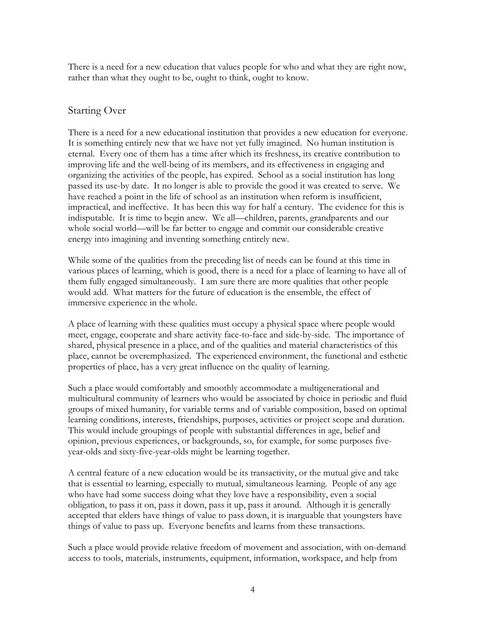There is a need for a new education that values people for who and what they are right now, rather than what they ought to be, ought to think, ought to know.

## Starting Over

There is a need for a new educational institution that provides a new education for everyone. It is something entirely new that we have not yet fully imagined. No human institution is eternal. Every one of them has a time after which its freshness, its creative contribution to improving life and the well-being of its members, and its effectiveness in engaging and organizing the activities of the people, has expired. School as a social institution has long passed its use-by date. It no longer is able to provide the good it was created to serve. We have reached a point in the life of school as an institution when reform is insufficient, impractical, and ineffective. It has been this way for half a century. The evidence for this is indisputable. It is time to begin anew. We all—children, parents, grandparents and our whole social world—will be far better to engage and commit our considerable creative energy into imagining and inventing something entirely new.

While some of the qualities from the preceding list of needs can be found at this time in various places of learning, which is good, there is a need for a place of learning to have all of them fully engaged simultaneously. I am sure there are more qualities that other people would add. What matters for the future of education is the ensemble, the effect of immersive experience in the whole.

A place of learning with these qualities must occupy a physical space where people would meet, engage, cooperate and share activity face-to-face and side-by-side. The importance of shared, physical presence in a place, and of the qualities and material characteristics of this place, cannot be overemphasized. The experienced environment, the functional and esthetic properties of place, has a very great influence on the quality of learning.

Such a place would comfortably and smoothly accommodate a multigenerational and multicultural community of learners who would be associated by choice in periodic and fluid groups of mixed humanity, for variable terms and of variable composition, based on optimal learning conditions, interests, friendships, purposes, activities or project scope and duration. This would include groupings of people with substantial differences in age, belief and opinion, previous experiences, or backgrounds, so, for example, for some purposes fiveyear-olds and sixty-five-year-olds might be learning together.

A central feature of a new education would be its transactivity, or the mutual give and take that is essential to learning, especially to mutual, simultaneous learning. People of any age who have had some success doing what they love have a responsibility, even a social obligation, to pass it on, pass it down, pass it up, pass it around. Although it is generally accepted that elders have things of value to pass down, it is inarguable that youngsters have things of value to pass up. Everyone benefits and learns from these transactions.

Such a place would provide relative freedom of movement and association, with on-demand access to tools, materials, instruments, equipment, information, workspace, and help from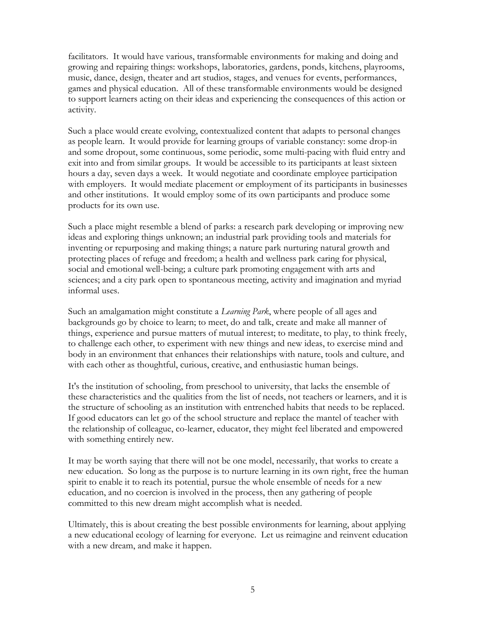facilitators. It would have various, transformable environments for making and doing and growing and repairing things: workshops, laboratories, gardens, ponds, kitchens, playrooms, music, dance, design, theater and art studios, stages, and venues for events, performances, games and physical education. All of these transformable environments would be designed to support learners acting on their ideas and experiencing the consequences of this action or activity.

Such a place would create evolving, contextualized content that adapts to personal changes as people learn. It would provide for learning groups of variable constancy: some drop-in and some dropout, some continuous, some periodic, some multi-pacing with fluid entry and exit into and from similar groups. It would be accessible to its participants at least sixteen hours a day, seven days a week. It would negotiate and coordinate employee participation with employers. It would mediate placement or employment of its participants in businesses and other institutions. It would employ some of its own participants and produce some products for its own use.

Such a place might resemble a blend of parks: a research park developing or improving new ideas and exploring things unknown; an industrial park providing tools and materials for inventing or repurposing and making things; a nature park nurturing natural growth and protecting places of refuge and freedom; a health and wellness park caring for physical, social and emotional well-being; a culture park promoting engagement with arts and sciences; and a city park open to spontaneous meeting, activity and imagination and myriad informal uses.

Such an amalgamation might constitute a *Learning Park*, where people of all ages and backgrounds go by choice to learn; to meet, do and talk, create and make all manner of things, experience and pursue matters of mutual interest; to meditate, to play, to think freely, to challenge each other, to experiment with new things and new ideas, to exercise mind and body in an environment that enhances their relationships with nature, tools and culture, and with each other as thoughtful, curious, creative, and enthusiastic human beings.

It's the institution of schooling, from preschool to university, that lacks the ensemble of these characteristics and the qualities from the list of needs, not teachers or learners, and it is the structure of schooling as an institution with entrenched habits that needs to be replaced. If good educators can let go of the school structure and replace the mantel of teacher with the relationship of colleague, co-learner, educator, they might feel liberated and empowered with something entirely new.

It may be worth saying that there will not be one model, necessarily, that works to create a new education. So long as the purpose is to nurture learning in its own right, free the human spirit to enable it to reach its potential, pursue the whole ensemble of needs for a new education, and no coercion is involved in the process, then any gathering of people committed to this new dream might accomplish what is needed.

Ultimately, this is about creating the best possible environments for learning, about applying a new educational ecology of learning for everyone. Let us reimagine and reinvent education with a new dream, and make it happen.